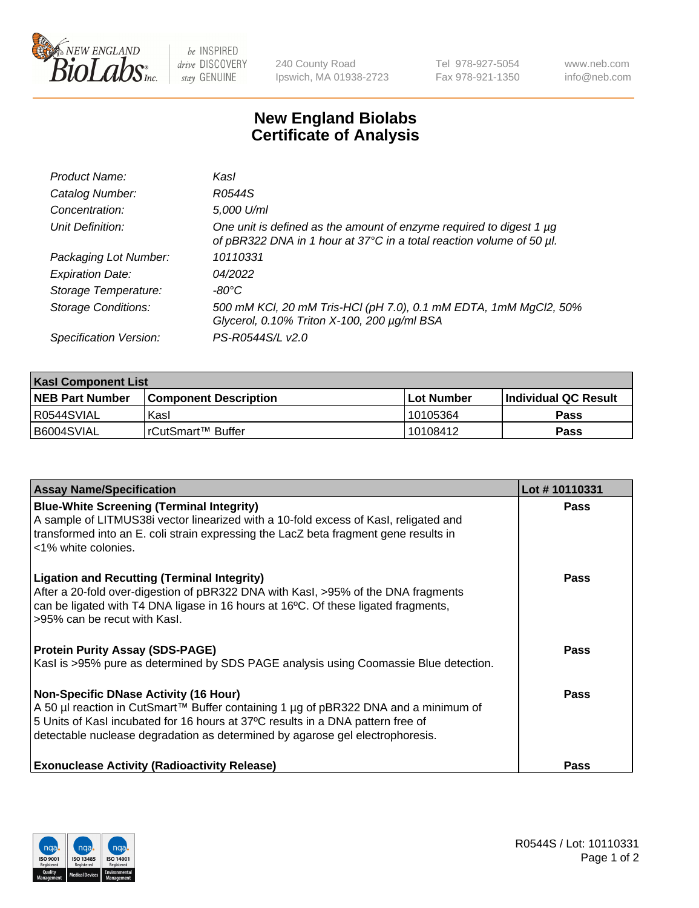

 $be$  INSPIRED drive DISCOVERY stay GENUINE

240 County Road Ipswich, MA 01938-2723 Tel 978-927-5054 Fax 978-921-1350 www.neb.com info@neb.com

## **New England Biolabs Certificate of Analysis**

| Product Name:              | Kasl                                                                                                                                        |
|----------------------------|---------------------------------------------------------------------------------------------------------------------------------------------|
| Catalog Number:            | R0544S                                                                                                                                      |
| Concentration:             | 5,000 U/ml                                                                                                                                  |
| Unit Definition:           | One unit is defined as the amount of enzyme required to digest 1 µg<br>of pBR322 DNA in 1 hour at 37°C in a total reaction volume of 50 µl. |
| Packaging Lot Number:      | 10110331                                                                                                                                    |
| <b>Expiration Date:</b>    | 04/2022                                                                                                                                     |
| Storage Temperature:       | -80°C                                                                                                                                       |
| <b>Storage Conditions:</b> | 500 mM KCl, 20 mM Tris-HCl (pH 7.0), 0.1 mM EDTA, 1mM MgCl2, 50%<br>Glycerol, 0.10% Triton X-100, 200 µg/ml BSA                             |
| Specification Version:     | PS-R0544S/L v2.0                                                                                                                            |

| <b>Kasl Component List</b> |                              |                   |                             |  |  |
|----------------------------|------------------------------|-------------------|-----------------------------|--|--|
| <b>NEB Part Number</b>     | <b>Component Description</b> | <b>Lot Number</b> | <b>Individual QC Result</b> |  |  |
| I R0544SVIAL               | Kasl                         | 10105364          | Pass                        |  |  |
| B6004SVIAL                 | 'rCutSmart™ Buffer           | 10108412          | Pass                        |  |  |

| <b>Assay Name/Specification</b>                                                                                                                                                                                                                                                                         | Lot #10110331 |
|---------------------------------------------------------------------------------------------------------------------------------------------------------------------------------------------------------------------------------------------------------------------------------------------------------|---------------|
| <b>Blue-White Screening (Terminal Integrity)</b><br>A sample of LITMUS38i vector linearized with a 10-fold excess of Kasl, religated and<br>transformed into an E. coli strain expressing the LacZ beta fragment gene results in<br><1% white colonies.                                                 | Pass          |
| <b>Ligation and Recutting (Terminal Integrity)</b><br>After a 20-fold over-digestion of pBR322 DNA with Kasl, >95% of the DNA fragments<br>can be ligated with T4 DNA ligase in 16 hours at 16°C. Of these ligated fragments,<br>>95% can be recut with Kasl.                                           | Pass          |
| <b>Protein Purity Assay (SDS-PAGE)</b><br>Kasl is >95% pure as determined by SDS PAGE analysis using Coomassie Blue detection.                                                                                                                                                                          | Pass          |
| <b>Non-Specific DNase Activity (16 Hour)</b><br>A 50 µl reaction in CutSmart™ Buffer containing 1 µg of pBR322 DNA and a minimum of<br>5 Units of Kasl incubated for 16 hours at 37°C results in a DNA pattern free of<br>detectable nuclease degradation as determined by agarose gel electrophoresis. | Pass          |
| <b>Exonuclease Activity (Radioactivity Release)</b>                                                                                                                                                                                                                                                     | Pass          |